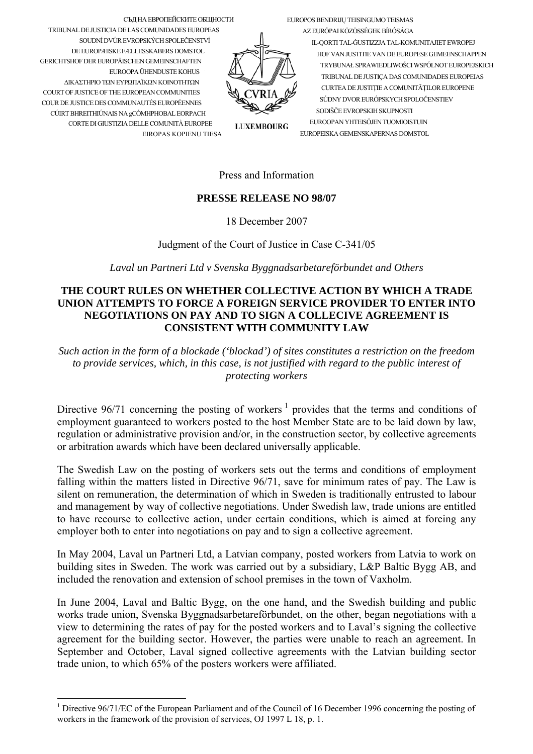EUROPOS BENDRIJU TEISINGUMO TEISMAS

СЪД НА ЕВРОПЕЙСКИТЕ ОБЩНОСТИ TRIBUNAL DE JUSTICIA DE LAS COMUNIDADES EUROPEAS SOUDNÍ DVŮR EVROPSKÝCH SPOLEČENSTVÍ DE EUROPÆISKE FÆLLESSKABERS DOMSTOL **GERICHTSHOF DER ELIROPÄISCHEN GEMEINSCHAFTEN** ELIROOPA ÜHENDLISTE KOHLIS ΛΙΚΑΣΤΗΡΙΟ ΤΩΝ ΕΥΡΩΠΑΪΚΩΝ ΚΟΙΝΟΤΗΤΩΝ COURT OF JUSTICE OF THE EUROPEAN COMMUNITIES COUR DE JUSTICE DES COMMUNAUTÉS EUROPÉENNES CÚIRT BHREITHIÚNAIS NA gCÓMHPHOBAL EORPACH CORTE DI GIUSTIZIA DELLE COMUNITÀ EUROPEE EIROPAS KOPIENU TIESA

AZ EURÓPAI KÖZÖSSÉGEK BÍRÓSÁGA IL-QORTI TAL-GUSTIZZJA TAL-KOMUNITAJIET EWROPEJ HOF VAN II ISTITTE VAN DE EI IROPESE GEMEENSCHAPPEN TRYBUNAŁ SPRAWIEDLIWOŚCI WSPÓLNOT EUROPEJSKICH TRIBUNAL DE JUSTICA DAS COMUNIDADES EUROPEIAS CURTEA DE JUSTITIE A COMUNITĂTILOR EUROPENE SÚDNY DVOR EURÓPSKYCH SPOLOČENSTIEV SODIŠČE EVROPSKIH SKUPNOSTI EUROOPAN YHTEISÖJEN TUOMIOISTUIN EUROPEISKA GEMENSKAPERNAS DOMSTOL

**LUXEMBOURG** 

## Press and Information

## **PRESSE RELEASE NO 98/07**

18 December 2007

Judgment of the Court of Justice in Case C-341/05

Laval un Partneri Ltd v Svenska Byggnadsarbetareförbundet and Others

## THE COURT RULES ON WHETHER COLLECTIVE ACTION BY WHICH A TRADE UNION ATTEMPTS TO FORCE A FOREIGN SERVICE PROVIDER TO ENTER INTO NEGOTIATIONS ON PAY AND TO SIGN A COLLECIVE AGREEMENT IS **CONSISTENT WITH COMMUNITY LAW**

Such action in the form of a blockade ('blockad') of sites constitutes a restriction on the freedom to provide services, which, in this case, is not justified with regard to the public interest of protecting workers

Directive 96/71 concerning the posting of workers  $\frac{1}{1}$  provides that the terms and conditions of employment guaranteed to workers posted to the host Member State are to be laid down by law. regulation or administrative provision and/or, in the construction sector, by collective agreements or arbitration awards which have been declared universally applicable.

The Swedish Law on the posting of workers sets out the terms and conditions of employment falling within the matters listed in Directive 96/71, save for minimum rates of pay. The Law is silent on remuneration, the determination of which in Sweden is traditionally entrusted to labour and management by way of collective negotiations. Under Swedish law, trade unions are entitled to have recourse to collective action, under certain conditions, which is aimed at forcing any employer both to enter into negotiations on pay and to sign a collective agreement.

In May 2004, Laval un Partneri Ltd, a Latvian company, posted workers from Latvia to work on building sites in Sweden. The work was carried out by a subsidiary, L&P Baltic Bygg AB, and included the renovation and extension of school premises in the town of Vaxholm.

In June 2004, Laval and Baltic Bygg, on the one hand, and the Swedish building and public works trade union, Svenska Byggnadsarbetareförbundet, on the other, began negotiations with a view to determining the rates of pay for the posted workers and to Laval's signing the collective agreement for the building sector. However, the parties were unable to reach an agreement. In September and October, Laval signed collective agreements with the Latvian building sector trade union, to which 65% of the posters workers were affiliated.

<span id="page-0-0"></span><sup>&</sup>lt;sup>1</sup> Directive 96/71/EC of the European Parliament and of the Council of 16 December 1996 concerning the posting of workers in the framework of the provision of services, OJ 1997 L 18, p. 1.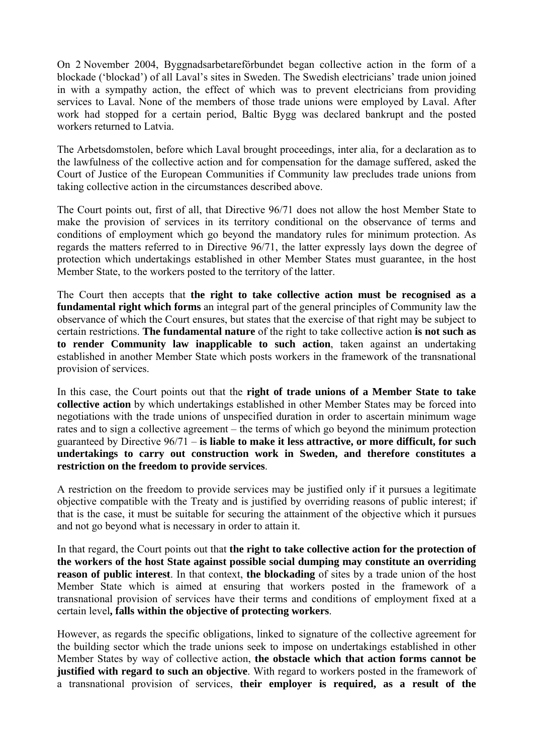On 2 November 2004, Byggnadsarbetareförbundet began collective action in the form of a blockade ('blockad') of all Laval's sites in Sweden. The Swedish electricians' trade union joined in with a sympathy action, the effect of which was to prevent electricians from providing services to Laval. None of the members of those trade unions were employed by Laval. After work had stopped for a certain period, Baltic Bygg was declared bankrupt and the posted workers returned to Latvia.

The Arbetsdomstolen, before which Laval brought proceedings, inter alia, for a declaration as to the lawfulness of the collective action and for compensation for the damage suffered, asked the Court of Justice of the European Communities if Community law precludes trade unions from taking collective action in the circumstances described above.

The Court points out, first of all, that Directive 96/71 does not allow the host Member State to make the provision of services in its territory conditional on the observance of terms and conditions of employment which go beyond the mandatory rules for minimum protection. As regards the matters referred to in Directive 96/71, the latter expressly lays down the degree of protection which undertakings established in other Member States must guarantee, in the host Member State, to the workers posted to the territory of the latter.

The Court then accepts that **the right to take collective action must be recognised as a fundamental right which forms** an integral part of the general principles of Community law the observance of which the Court ensures, but states that the exercise of that right may be subject to certain restrictions. **The fundamental nature** of the right to take collective action **is not such as to render Community law inapplicable to such action**, taken against an undertaking established in another Member State which posts workers in the framework of the transnational provision of services.

In this case, the Court points out that the **right of trade unions of a Member State to take collective action** by which undertakings established in other Member States may be forced into negotiations with the trade unions of unspecified duration in order to ascertain minimum wage rates and to sign a collective agreement – the terms of which go beyond the minimum protection guaranteed by Directive 96/71 – **is liable to make it less attractive, or more difficult, for such undertakings to carry out construction work in Sweden, and therefore constitutes a restriction on the freedom to provide services**.

A restriction on the freedom to provide services may be justified only if it pursues a legitimate objective compatible with the Treaty and is justified by overriding reasons of public interest; if that is the case, it must be suitable for securing the attainment of the objective which it pursues and not go beyond what is necessary in order to attain it.

In that regard, the Court points out that **the right to take collective action for the protection of the workers of the host State against possible social dumping may constitute an overriding reason of public interest**. In that context, **the blockading** of sites by a trade union of the host Member State which is aimed at ensuring that workers posted in the framework of a transnational provision of services have their terms and conditions of employment fixed at a certain level**, falls within the objective of protecting workers**.

However, as regards the specific obligations, linked to signature of the collective agreement for the building sector which the trade unions seek to impose on undertakings established in other Member States by way of collective action, **the obstacle which that action forms cannot be justified with regard to such an objective**. With regard to workers posted in the framework of a transnational provision of services, **their employer is required, as a result of the**